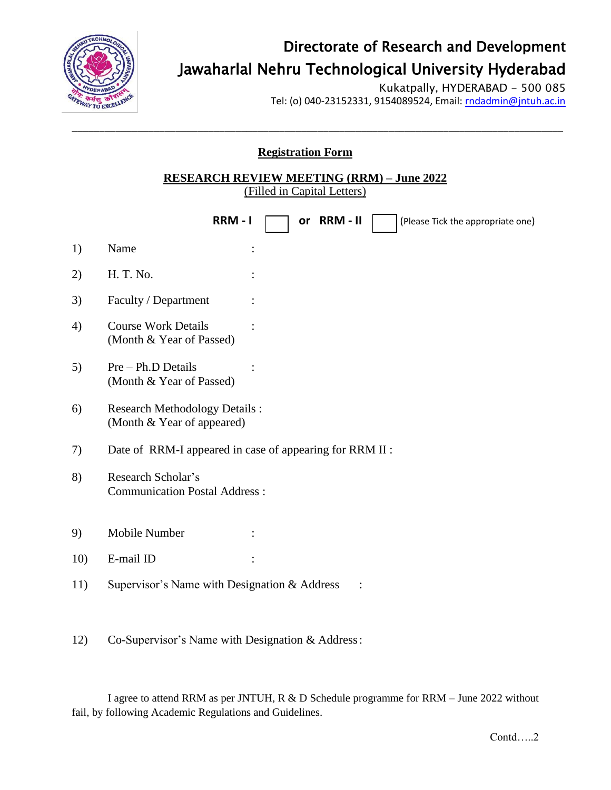

## Directorate of Research and Development Jawaharlal Nehru Technological University Hyderabad

Kukatpally, HYDERABAD - 500 085 Tel: (o) 040-23152331, 9154089524, Email: [rndadmin@jntuh.ac.in](mailto:rndadmin@jntuh.ac.in)

**Registration Form** 

\_\_\_\_\_\_\_\_\_\_\_\_\_\_\_\_\_\_\_\_\_\_\_\_\_\_\_\_\_\_\_\_\_\_\_\_\_\_\_\_\_\_\_\_\_\_\_\_\_\_\_\_\_\_\_\_\_\_\_\_\_\_\_\_\_\_\_\_\_\_\_\_\_\_\_\_\_\_\_\_\_\_\_\_\_\_\_\_\_\_

## **RESEARCH REVIEW MEETING (RRM) – June 2022**

(Filled in Capital Letters)

|     | RRM-I<br>or RRM-II<br>(Please Tick the appropriate one)            |  |
|-----|--------------------------------------------------------------------|--|
| 1)  | Name<br>$\ddot{\cdot}$                                             |  |
| 2)  | H. T. No.                                                          |  |
| 3)  | Faculty / Department                                               |  |
| 4)  | <b>Course Work Details</b><br>(Month & Year of Passed)             |  |
| 5)  | Pre – Ph.D Details<br>(Month & Year of Passed)                     |  |
| 6)  | <b>Research Methodology Details:</b><br>(Month & Year of appeared) |  |
| 7)  | Date of RRM-I appeared in case of appearing for RRM II :           |  |
| 8)  | Research Scholar's<br><b>Communication Postal Address:</b>         |  |
| 9)  | Mobile Number                                                      |  |
| 10) | E-mail ID                                                          |  |
| 11) | Supervisor's Name with Designation & Address                       |  |

12) Co-Supervisor's Name with Designation & Address:

I agree to attend RRM as per JNTUH, R & D Schedule programme for RRM – June 2022 without fail, by following Academic Regulations and Guidelines.